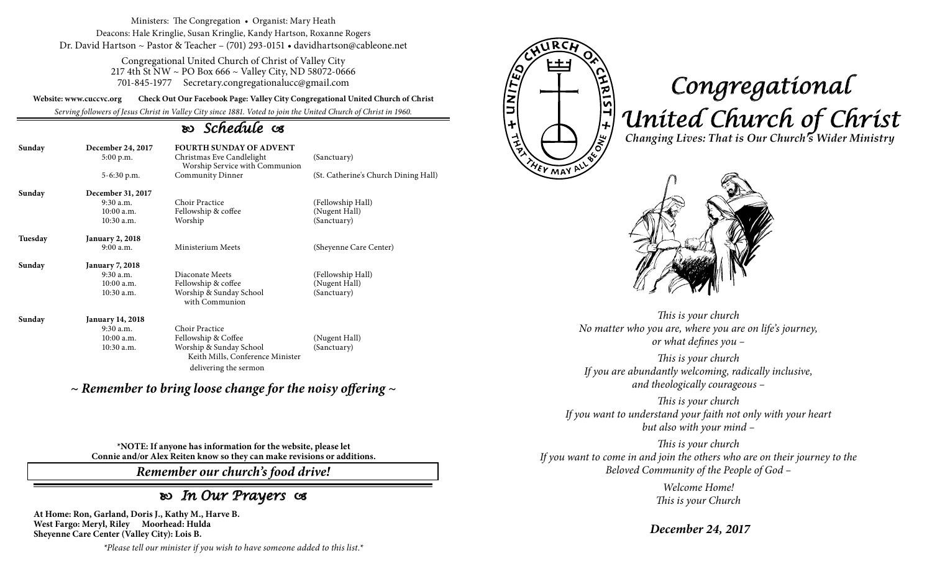Ministers: The Congregation • Organist: Mary Heath Deacons: Hale Kringlie, Susan Kringlie, Kandy Hartson, Roxanne Rogers Dr. David Hartson ~ Pastor & Teacher – (701) 293-0151 • davidhartson@cableone.net

> Congregational United Church of Christ of Valley City 217 4th St NW ~ PO Box 666 ~ Valley City, ND 58072-0666 701-845-1977 Secretary.congregationalucc@gmail.com

**Website: www.cuccvc.org Check Out Our Facebook Page: Valley City Congregational United Church of Christ**

*Serving followers of Jesus Christ in Valley City since 1881. Voted to join the United Church of Christ in 1960.*

# *Schedule*

| Sunday  | December 24, 2017<br>5:00 p.m. | <b>FOURTH SUNDAY OF ADVENT</b><br>Christmas Eve Candlelight<br>Worship Service with Communion | (Sanctuary)                          |
|---------|--------------------------------|-----------------------------------------------------------------------------------------------|--------------------------------------|
|         | 5-6:30 p.m.                    | Community Dinner                                                                              | (St. Catherine's Church Dining Hall) |
| Sunday  | December 31, 2017              |                                                                                               |                                      |
|         | $9:30$ a.m.                    | Choir Practice                                                                                | (Fellowship Hall)                    |
|         | $10:00$ a.m.                   | Fellowship & coffee                                                                           | (Nugent Hall)                        |
|         | 10:30 a.m.                     | Worship                                                                                       | (Sanctuary)                          |
| Tuesday | January 2, 2018                |                                                                                               |                                      |
|         | 9:00a.m.                       | Ministerium Meets                                                                             | (Sheyenne Care Center)               |
| Sunday  | January 7, 2018                |                                                                                               |                                      |
|         | $9:30$ a.m.                    | Diaconate Meets                                                                               | (Fellowship Hall)                    |
|         | 10:00a.m.                      | Fellowship & coffee                                                                           | (Nugent Hall)                        |
|         | 10:30 a.m.                     | Worship & Sunday School<br>with Communion                                                     | (Sanctuary)                          |
| Sunday  | January 14, 2018               |                                                                                               |                                      |
|         | $9:30$ a.m.                    | Choir Practice                                                                                |                                      |
|         | $10:00$ a.m.                   | Fellowship & Coffee                                                                           | (Nugent Hall)                        |
|         | 10:30 a.m.                     | Worship & Sunday School<br>Keith Mills, Conference Minister                                   | (Sanctuary)                          |

*~ Remember to bring loose change for the noisy offering ~*

delivering the sermon

**\*NOTE: If anyone has information for the website, please let Connie and/or Alex Reiten know so they can make revisions or additions.**

*Remember our church's food drive!*

## *In Our Prayers*

**At Home: Ron, Garland, Doris J., Kathy M., Harve B. West Fargo: Meryl, Riley Moorhead: Hulda Sheyenne Care Center (Valley City): Lois B.**

*\*Please tell our minister if you wish to have someone added to this list.\**



# *Congregational United Church of Christ Changing Lives: That is Our Church's Wider Ministry*



*This is your church No matter who you are, where you are on life's journey, or what defines you –*

*This is your church If you are abundantly welcoming, radically inclusive, and theologically courageous –*

*This is your church If you want to understand your faith not only with your heart but also with your mind –*

*This is your church If you want to come in and join the others who are on their journey to the Beloved Community of the People of God –*

> *Welcome Home! This is your Church*

*December 24, 2017*